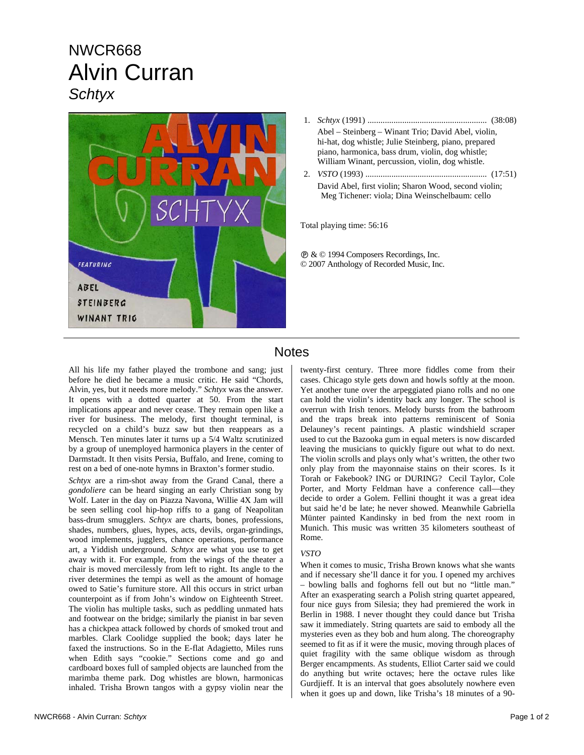# NWCR668 Alvin Curran *Schtyx*



- 1. *Schtyx* (1991) ....................................................... (38:08) Abel – Steinberg – Winant Trio; David Abel, violin, hi-hat, dog whistle; Julie Steinberg, piano, prepared piano, harmonica, bass drum, violin, dog whistle; William Winant, percussion, violin, dog whistle.
- 2. *VSTO* (1993) ........................................................ (17:51) David Abel, first violin; Sharon Wood, second violin; Meg Tichener: viola; Dina Weinschelbaum: cello

Total playing time: 56:16

Ê & © 1994 Composers Recordings, Inc. © 2007 Anthology of Recorded Music, Inc.

### **Notes**

All his life my father played the trombone and sang; just before he died he became a music critic. He said "Chords, Alvin, yes, but it needs more melody." *Schtyx* was the answer. It opens with a dotted quarter at 50. From the start implications appear and never cease. They remain open like a river for business. The melody, first thought terminal, is recycled on a child's buzz saw but then reappears as a Mensch. Ten minutes later it turns up a 5/4 Waltz scrutinized by a group of unemployed harmonica players in the center of Darmstadt. It then visits Persia, Buffalo, and Irene, coming to rest on a bed of one-note hymns in Braxton's former studio.

*Schtyx* are a rim-shot away from the Grand Canal, there a *gondoliere* can be heard singing an early Christian song by Wolf. Later in the day on Piazza Navona, Willie 4X Jam will be seen selling cool hip-hop riffs to a gang of Neapolitan bass-drum smugglers. *Schtyx* are charts, bones, professions, shades, numbers, glues, hypes, acts, devils, organ-grindings, wood implements, jugglers, chance operations, performance art, a Yiddish underground. *Schtyx* are what you use to get away with it. For example, from the wings of the theater a chair is moved mercilessly from left to right. Its angle to the river determines the tempi as well as the amount of homage owed to Satie's furniture store. All this occurs in strict urban counterpoint as if from John's window on Eighteenth Street. The violin has multiple tasks, such as peddling unmated hats and footwear on the bridge; similarly the pianist in bar seven has a chickpea attack followed by chords of smoked trout and marbles. Clark Coolidge supplied the book; days later he faxed the instructions. So in the E-flat Adagietto, Miles runs when Edith says "cookie." Sections come and go and cardboard boxes full of sampled objects are launched from the marimba theme park. Dog whistles are blown, harmonicas inhaled. Trisha Brown tangos with a gypsy violin near the

twenty-first century. Three more fiddles come from their cases. Chicago style gets down and howls softly at the moon. Yet another tune over the arpeggiated piano rolls and no one can hold the violin's identity back any longer. The school is overrun with Irish tenors. Melody bursts from the bathroom and the traps break into patterns reminiscent of Sonia Delauney's recent paintings. A plastic windshield scraper used to cut the Bazooka gum in equal meters is now discarded leaving the musicians to quickly figure out what to do next. The violin scrolls and plays only what's written, the other two only play from the mayonnaise stains on their scores. Is it Torah or Fakebook? ING or DURING? Cecil Taylor, Cole Porter, and Morty Feldman have a conference call—they decide to order a Golem. Fellini thought it was a great idea but said he'd be late; he never showed. Meanwhile Gabriella Münter painted Kandinsky in bed from the next room in Munich. This music was written 35 kilometers southeast of Rome.

#### *VSTO*

When it comes to music, Trisha Brown knows what she wants and if necessary she'll dance it for you. I opened my archives – bowling balls and foghorns fell out but no "little man." After an exasperating search a Polish string quartet appeared, four nice guys from Silesia; they had premiered the work in Berlin in 1988. I never thought they could dance but Trisha saw it immediately. String quartets are said to embody all the mysteries even as they bob and hum along. The choreography seemed to fit as if it were the music, moving through places of quiet fragility with the same oblique wisdom as through Berger encampments. As students, Elliot Carter said we could do anything but write octaves; here the octave rules like Gurdjieff. It is an interval that goes absolutely nowhere even when it goes up and down, like Trisha's 18 minutes of a 90